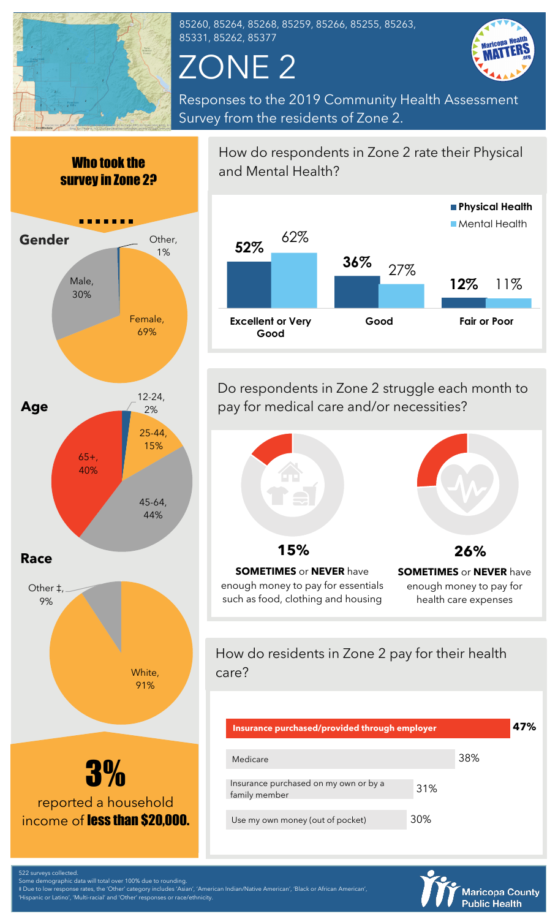

85260, 85264, 85268, 85259, 85266, 85255, 85263, 85331, 85262, 85377

## ZONE 2



Responses to the 2019 Community Health Assessment Survey from the residents of Zone 2.





How do respondents in Zone 2 rate their Physical and Mental Health?

![](_page_0_Figure_8.jpeg)

Do respondents in Zone 2 struggle each month to pay for medical care and/or necessities?

![](_page_0_Picture_10.jpeg)

**SOMETIMES** or **NEVER** have enough money to pay for essentials such as food, clothing and housing

![](_page_0_Figure_12.jpeg)

How do residents in Zone 2 pay for their health care?

| Insurance purchased/provided through employer          |     |     | 47% |
|--------------------------------------------------------|-----|-----|-----|
| Medicare                                               |     | 38% |     |
| Insurance purchased on my own or by a<br>family member | 31% |     |     |
| Use my own money (out of pocket)                       | 30% |     |     |

![](_page_0_Picture_15.jpeg)

522 surveys collected. Some demographic data will total over 100% due to rounding.

‡ Due to low response rates, the 'Other' category includes 'Asian', 'American Indian/Native American', 'Black or African American',

'Hispanic or Latino', 'Multi-racial' and 'Other' responses or race/ethnicity.